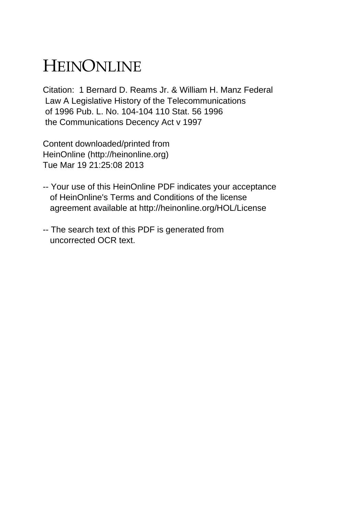## HEINONLINE

Citation: 1 Bernard D. Reams Jr. & William H. Manz Federal Law A Legislative History of the Telecommunications of 1996 Pub. L. No. 104-104 110 Stat. 56 1996 the Communications Decency Act v 1997

Content downloaded/printed from HeinOnline (http://heinonline.org) Tue Mar 19 21:25:08 2013

- -- Your use of this HeinOnline PDF indicates your acceptance of HeinOnline's Terms and Conditions of the license agreement available at http://heinonline.org/HOL/License
- -- The search text of this PDF is generated from uncorrected OCR text.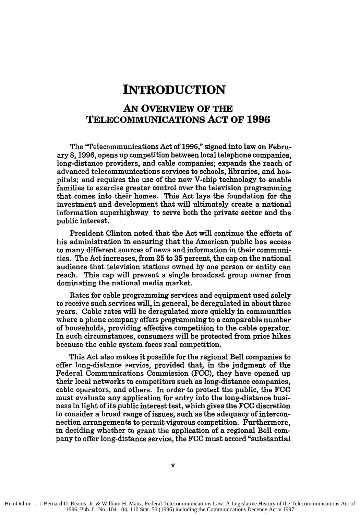## **INTRODUCTION**

## **AN OVERVIEW OF THE TELECOMMUNICATIONS ACT OF 1996**

The "Telecommunications Act of **1996,"** signed into law on February **8, 1996,** opens up competition between local telephone companies, long-distance providers, and cable companies; expands the reach of advanced telecommunications services to schools, libraries, and hospitals; and requires the use of the new V-chip technology to enable families to exercise greater control over the television programming that comes into their homes. This Act lays the foundation for the investment and development that will ultimately create a national information superhighway to serve both the private sector and the public interest.

President Clinton noted that the Act will continue the efforts of his administration in ensuring that the American public has access to many different sources of news and information in their communities. The Act increases, from **25** to **35** percent, the cap on the national audience that television stations owned **by** one person or entity can reach. This cap will prevent a single broadcast group owner from dominating the national media market.

Rates for cable programming services and equipment used solely to receive such services will, in general, be deregulated in about three years. Cable rates will be deregulated more quickly in communities where a phone company offers programming to a comparable number of households, providing effective competition to the cable operator. In such circumstances, consumers will be protected from price hikes because the cable system faces real competition.

This Act also makes it possible for the regional Bell companies to offer long-distance service, provided that, in the judgment of the Federal Communications Commission **(FCC),** they have opened up their local networks to competitors such as long-distance companies, cable operators, and others. In order to protect the public, the **FCC** must evaluate any application for entry into the long-distance business in light of its public interest test, which gives the **FCC** discretion to consider a broad range of issues, such as the adequacy of interconnection arrangements to permit vigorous competition. Furthermore, in deciding whether to grant the application of a regional Bell company to offer long-distance service, the **FCC** must accord "substantial